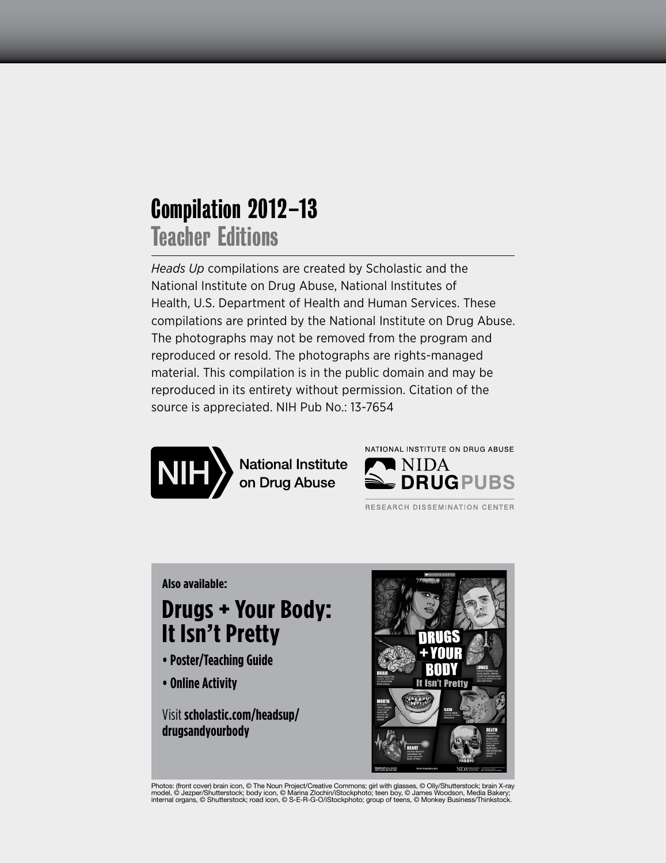## Compilation 2012–13 Teacher Editions

*Heads Up* compilations are created by Scholastic and the National Institute on Drug Abuse, National Institutes of Health, U.S. Department of Health and Human Services. These compilations are printed by the National Institute on Drug Abuse. The photographs may not be removed from the program and reproduced or resold. The photographs are rights-managed material. This compilation is in the public domain and may be reproduced in its entirety without permission. Citation of the source is appreciated. NIH Pub No.: 13-7654



**National Institute<br>on Drug Abuse** 



RESEARCH DISSEMINATION CENTER

### **Also available:**

## **Drugs + Your Body: It Isn't Pretty**

- **Poster/Teaching Guide**
- **Online Activity**

Visit **scholastic.com/headsup/ drugsandyourbody**



Photos: (front cover) brain icon, © The Noun Project/Creative Commons; girl with glasses, © Olly/Shutterstock; brain X-ray model, © Jezper/Shutterstock; body icon, © Marina Zlochin/iStockphoto; teen boy, © James Woodson, Media Bakery;<br>internal organs, © Shutterstock; road icon, © S-E-R-G-O/iStockphoto; group of teens, © Monkey Business/Thinks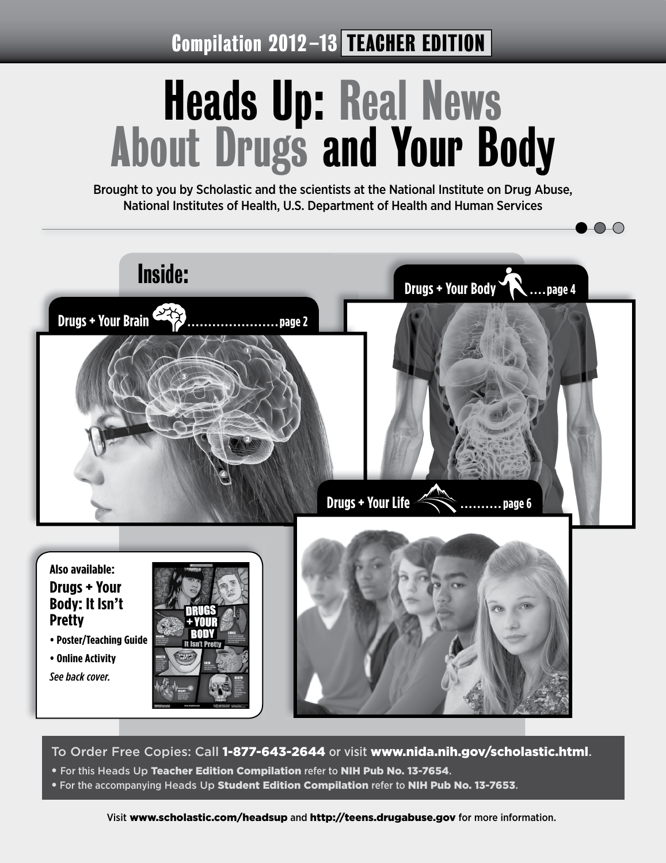Compilation 2012-13 TEACHER EDITION

# Heads Up: Real News About Drugs and Your Body

Brought to you by Scholastic and the scientists at the National Institute on Drug Abuse, National Institutes of Health, U.S. Department of Health and Human Services



To Order Free Copies: Call 1-877-643-2644 or visit www.nida.nih.gov/scholastic.html.

- For this Heads Up Teacher Edition Compilation refer to NIH Pub No. 13-7654.
- **For the accompanying Heads Up Student Edition Compilation refer to NIH Pub No. 13-7653.**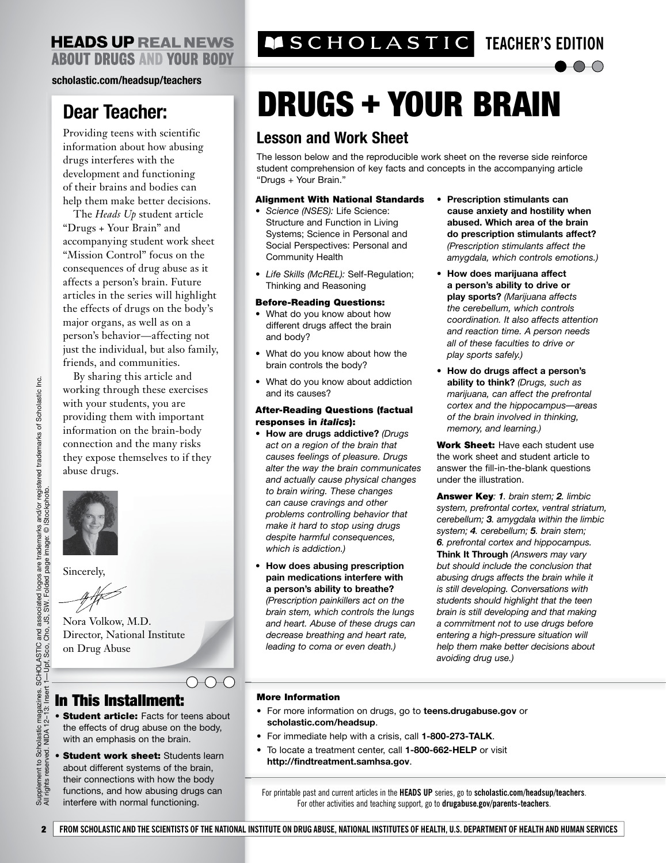### **scholastic.com/headsup/teachers**

## **Dear Teacher:**

Providing teens with scientific information about how abusing drugs interferes with the development and functioning of their brains and bodies can help them make better decisions.

The *Heads Up* student article "Drugs + Your Brain" and accompanying student work sheet "Mission Control" focus on the consequences of drug abuse as it affects a person's brain. Future articles in the series will highlight the effects of drugs on the body's major organs, as well as on a person's behavior—affecting not just the individual, but also family, friends, and communities.

By sharing this article and working through these exercises with your students, you are providing them with important information on the brain-body connection and the many risks they expose themselves to if they abuse drugs.



Sincerely,

Nora Volkow, M.D. Director, National Institute on Drug Abuse

### In This Installment:

• Student article: Facts for teens about the effects of drug abuse on the body, with an emphasis on the brain.

 $\bigcap_{\alpha\in\mathbb{N}}$ 

• Student work sheet: Students learn about different systems of the brain, their connections with how the body functions, and how abusing drugs can interfere with normal functioning.

## **TEACHER'S EDITION**

# DRUGS + YOUR BRAIN

### **Lesson and Work Sheet**

The lesson below and the reproducible work sheet on the reverse side reinforce student comprehension of key facts and concepts in the accompanying article "Drugs + Your Brain."

#### Alignment With National Standards

- *Science (NSES):* Life Science: Structure and Function in Living Systems; Science in Personal and Social Perspectives: Personal and Community Health
- *Life Skills (McREL):* Self-Regulation; Thinking and Reasoning

### Before-Reading Questions:

- What do you know about how different drugs affect the brain and body?
- What do you know about how the brain controls the body?
- What do you know about addiction and its causes?

#### After-Reading Questions (factual responses in *italics*):

- **How are drugs addictive?** *(Drugs act on a region of the brain that causes feelings of pleasure. Drugs alter the way the brain communicates and actually cause physical changes to brain wiring. These changes can cause cravings and other problems controlling behavior that make it hard to stop using drugs despite harmful consequences, which is addiction.)*
- **How does abusing prescription pain medications interfere with a person's ability to breathe?** *(Prescription painkillers act on the brain stem, which controls the lungs and heart. Abuse of these drugs can decrease breathing and heart rate,*

*leading to coma or even death.)*

- **Prescription stimulants can cause anxiety and hostility when abused. Which area of the brain do prescription stimulants affect?** *(Prescription stimulants affect the amygdala, which controls emotions.)*
- **How does marijuana affect a person's ability to drive or play sports?** *(Marijuana affects the cerebellum, which controls coordination. It also affects attention and reaction time. A person needs all of these faculties to drive or play sports safely.)*
- **How do drugs affect a person's ability to think?** *(Drugs, such as marijuana, can affect the prefrontal cortex and the hippocampus—areas of the brain involved in thinking, memory, and learning.)*

Work Sheet: Have each student use the work sheet and student article to answer the fill-in-the-blank questions under the illustration.

Answer Key*: 1. brain stem; 2. limbic system, prefrontal cortex, ventral striatum, cerebellum; 3. amygdala within the limbic system; 4. cerebellum; 5. brain stem; 6. prefrontal cortex and hippocampus.*  **Think It Through** *(Answers may vary but should include the conclusion that abusing drugs affects the brain while it is still developing. Conversations with students should highlight that the teen brain is still developing and that making a commitment not to use drugs before entering a high-pressure situation will help them make better decisions about avoiding drug use.)*

### More Information

- For more information on drugs, go to **teens.drugabuse.gov** or **scholastic.com/headsup**.
- For immediate help with a crisis, call **1-800-273-TALK**.
- To locate a treatment center, call **1-800-662-HELP** or visit **http://findtreatment.samhsa.gov**.

For printable past and current articles in the **HEADS UP** series, go to **scholastic.com/headsup/teachers**. For other activities and teaching support, go to **drugabuse.gov/parents-teachers**.

2 **FROM SCHOLASTIC AND THE SCIENTISTS OF THE NATIONAL INSTITUTE ON DRUG ABUSE, NATIONAL INSTITUTES OF HEALTH, U.S. DEPARTMENT OF HEALTH AND HUMAN SERVICES**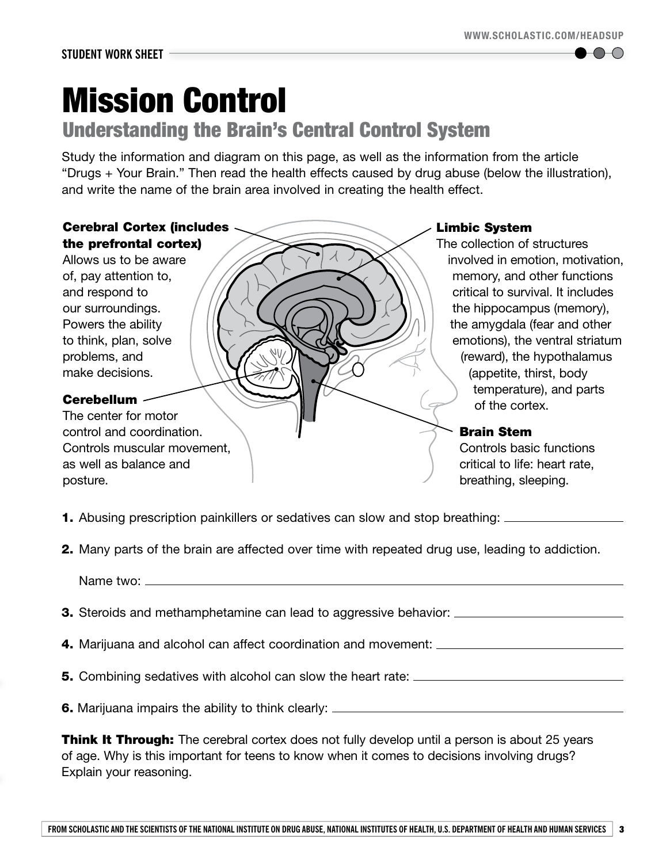$\Box$ 

# Mission Control

## Understanding the Brain's Central Control System

Study the information and diagram on this page, as well as the information from the article "Drugs + Your Brain." Then read the health effects caused by drug abuse (below the illustration), and write the name of the brain area involved in creating the health effect.

### Cerebral Cortex (includes the prefrontal cortex)

 Allows us to be aware of, pay attention to, and respond to our surroundings. Powers the ability to think, plan, solve problems, and make decisions.

### Cerebellum

The center for motor control and coordination. Controls muscular movement, as well as balance and posture.

### Limbic System

The collection of structures involved in emotion, motivation, memory, and other functions critical to survival. It includes the hippocampus (memory), the amygdala (fear and other emotions), the ventral striatum (reward), the hypothalamus (appetite, thirst, body temperature), and parts of the cortex.

### Brain Stem

Controls basic functions critical to life: heart rate, breathing, sleeping.

**1.** Abusing prescription painkillers or sedatives can slow and stop breathing:  $\equiv$ 

**2.** Many parts of the brain are affected over time with repeated drug use, leading to addiction.

Name two:

- **3.** Steroids and methamphetamine can lead to aggressive behavior: \_\_\_\_\_\_\_\_\_\_\_\_\_\_
- 4. Marijuana and alcohol can affect coordination and movement:
- **5.** Combining sedatives with alcohol can slow the heart rate: \_\_\_\_\_

**6.** Marijuana impairs the ability to think clearly: \_\_\_\_\_\_\_\_\_\_\_\_\_\_\_\_\_\_\_\_\_\_\_\_\_\_\_\_

**Think It Through:** The cerebral cortex does not fully develop until a person is about 25 years of age. Why is this important for teens to know when it comes to decisions involving drugs? Explain your reasoning.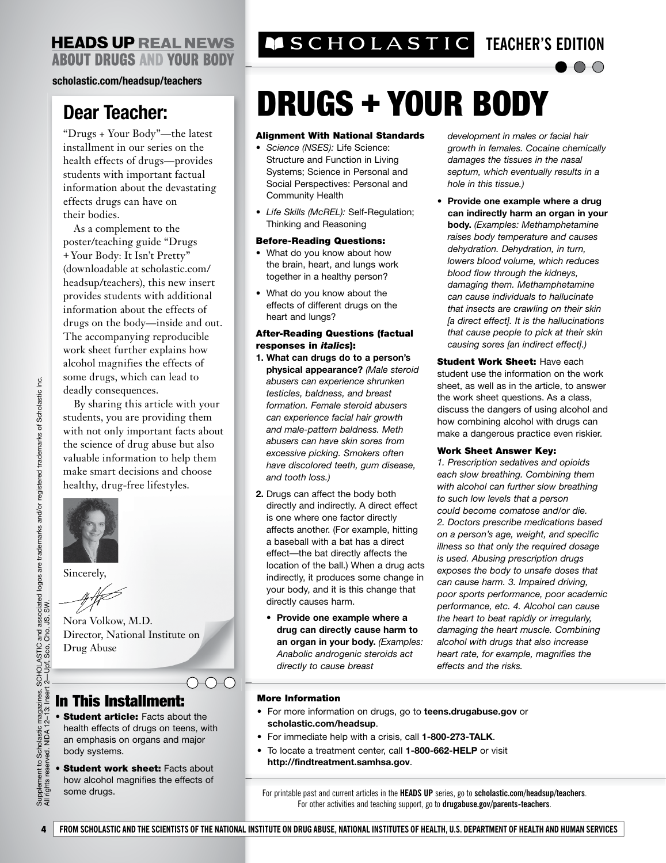### **HEADS UP REAL NEWS ABOUT DRUGS AND YOUR BODY**

### **scholastic.com/headsup/teachers**

## **Dear Teacher:**

"Drugs + Your Body"—the latest installment in our series on the health effects of drugs—provides students with important factual information about the devastating effects drugs can have on their bodies.

As a complement to the poster/teaching guide "Drugs + Your Body: It Isn't Pretty" (downloadable at scholastic.com/ headsup/teachers), this new insert provides students with additional information about the effects of drugs on the body—inside and out. The accompanying reproducible work sheet further explains how alcohol magnifies the effects of some drugs, which can lead to deadly consequences.

By sharing this article with your students, you are providing them with not only important facts about the science of drug abuse but also valuable information to help them make smart decisions and choose healthy, drug-free lifestyles.



Sincerely,

 $#$ 

Nora Volkow, M.D. Director, National Institute on Drug Abuse

## In This Installment:

**• Student article:** Facts about the health effects of drugs on teens, with an emphasis on organs and major body systems.

 $\bigcap_{\alpha\in\mathbb{C}}\bigcap_{\alpha\in\mathbb{C}}\alpha$ 

**Student work sheet: Facts about** how alcohol magnifies the effects of some drugs.

**TEACHER'S EDITION** 

## $\bigcirc$

# DRUGS + YOUR BODY

#### Alignment With National Standards

- *Science (NSES):* Life Science: Structure and Function in Living Systems; Science in Personal and Social Perspectives: Personal and Community Health
- *Life Skills (McREL):* Self-Regulation; Thinking and Reasoning

### Before-Reading Questions:

- What do you know about how the brain, heart, and lungs work together in a healthy person?
- What do you know about the effects of different drugs on the heart and lungs?

### After-Reading Questions (factual responses in *italics*):

- **1. What can drugs do to a person's physical appearance?** *(Male steroid abusers can experience shrunken testicles, baldness, and breast formation. Female steroid abusers can experience facial hair growth and male-pattern baldness. Meth abusers can have skin sores from excessive picking. Smokers often have discolored teeth, gum disease, and tooth loss.)*
- **2.** Drugs can affect the body both directly and indirectly. A direct effect is one where one factor directly affects another. (For example, hitting a baseball with a bat has a direct effect—the bat directly affects the location of the ball.) When a drug acts indirectly, it produces some change in your body, and it is this change that directly causes harm.
	- **Provide one example where a drug can directly cause harm to an organ in your body.** *(Examples: Anabolic androgenic steroids act directly to cause breast*

 *development in males or facial hair growth in females. Cocaine chemically damages the tissues in the nasal septum, which eventually results in a hole in this tissue.)*

• **Provide one example where a drug can indirectly harm an organ in your body.** *(Examples: Methamphetamine raises body temperature and causes dehydration. Dehydration, in turn, lowers blood volume, which reduces blood flow through the kidneys, damaging them. Methamphetamine can cause individuals to hallucinate that insects are crawling on their skin [a direct effect]. It is the hallucinations that cause people to pick at their skin causing sores [an indirect effect].)*

**Student Work Sheet: Have each** student use the information on the work sheet, as well as in the article, to answer the work sheet questions. As a class, discuss the dangers of using alcohol and how combining alcohol with drugs can make a dangerous practice even riskier.

### Work Sheet Answer Key:

*1. Prescription sedatives and opioids each slow breathing. Combining them with alcohol can further slow breathing to such low levels that a person could become comatose and/or die. 2. Doctors prescribe medications based on a person's age, weight, and specific illness so that only the required dosage is used. Abusing prescription drugs exposes the body to unsafe doses that can cause harm. 3. Impaired driving, poor sports performance, poor academic performance, etc. 4. Alcohol can cause the heart to beat rapidly or irregularly, damaging the heart muscle. Combining alcohol with drugs that also increase heart rate, for example, magnifies the effects and the risks.*

### More Information

- For more information on drugs, go to **teens.drugabuse.gov** or **scholastic.com/headsup**.
- For immediate help with a crisis, call **1-800-273-TALK**.
- To locate a treatment center, call **1-800-662-HELP** or visit **http://findtreatment.samhsa.gov**.

For printable past and current articles in the **HEADS UP** series, go to **scholastic.com/headsup/teachers**. For other activities and teaching support, go to **drugabuse.gov/parents-teachers**.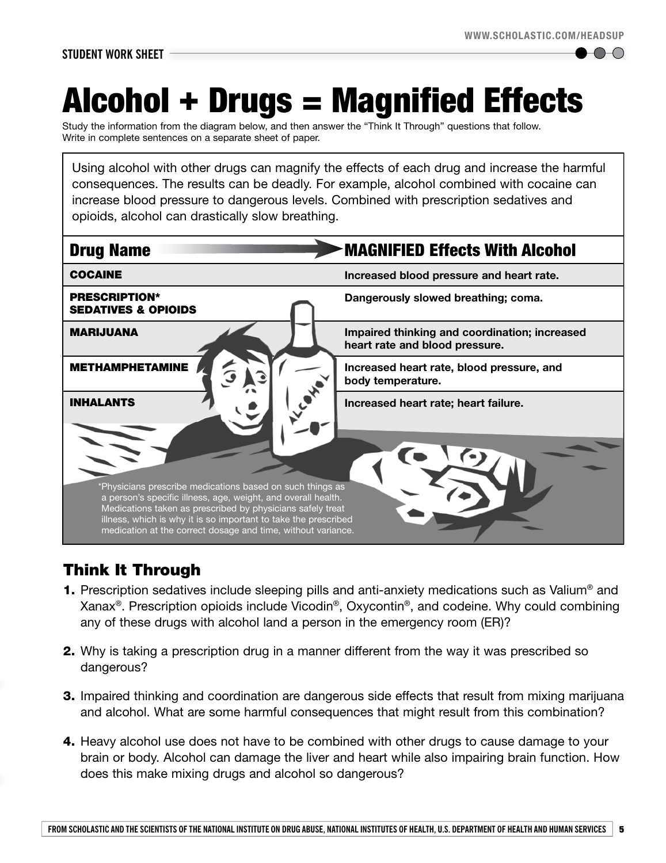$\vdash$   $\vdash$   $\vdash$   $\vdash$ 

# Alcohol + Drugs = Magnified Effects

Study the information from the diagram below, and then answer the "Think It Through" questions that follow. Write in complete sentences on a separate sheet of paper.

Using alcohol with other drugs can magnify the effects of each drug and increase the harmful consequences. The results can be deadly. For example, alcohol combined with cocaine can increase blood pressure to dangerous levels. Combined with prescription sedatives and opioids, alcohol can drastically slow breathing.



## Think It Through

- 1. Prescription sedatives include sleeping pills and anti-anxiety medications such as Valium<sup>®</sup> and Xanax®. Prescription opioids include Vicodin®, Oxycontin®, and codeine. Why could combining any of these drugs with alcohol land a person in the emergency room (ER)?
- 2. Why is taking a prescription drug in a manner different from the way it was prescribed so dangerous?
- **3.** Impaired thinking and coordination are dangerous side effects that result from mixing marijuana and alcohol. What are some harmful consequences that might result from this combination?
- 4. Heavy alcohol use does not have to be combined with other drugs to cause damage to your brain or body. Alcohol can damage the liver and heart while also impairing brain function. How does this make mixing drugs and alcohol so dangerous?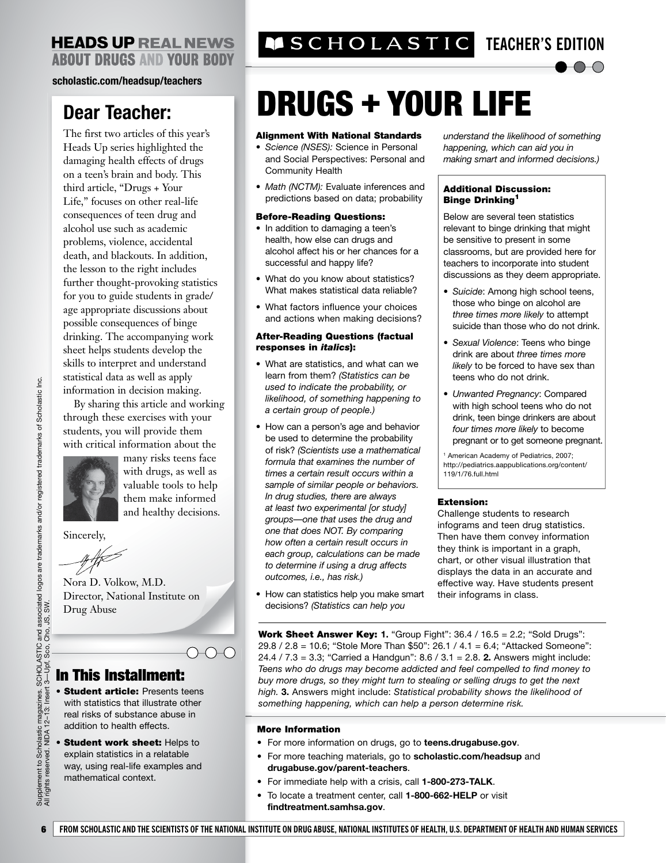### **HEADS UP REAL NEWS ABOUT DRUGS AND YOUR BODY**

### **scholastic.com/headsup/teachers**

## **Dear Teacher:**

The first two articles of this year's Heads Up series highlighted the damaging health effects of drugs on a teen's brain and body. This third article, "Drugs + Your Life," focuses on other real-life consequences of teen drug and alcohol use such as academic problems, violence, accidental death, and blackouts. In addition, the lesson to the right includes further thought-provoking statistics for you to guide students in grade/ age appropriate discussions about possible consequences of binge drinking. The accompanying work sheet helps students develop the skills to interpret and understand statistical data as well as apply information in decision making.

By sharing this article and working through these exercises with your students, you will provide them with critical information about the



many risks teens face with drugs, as well as valuable tools to help them make informed and healthy decisions.

Sincerely,

Nora D. Volkow, M.D. Director, National Institute on Drug Abuse

## In This Installment:

- Student article: Presents teens with statistics that illustrate other real risks of substance abuse in addition to health effects.
- **Student work sheet: Helps to** explain statistics in a relatable way, using real-life examples and mathematical context.

## **TEACHER'S EDITION**



# DRUGS + YOUR LIFE

### Alignment With National Standards

- *Science (NSES):* Science in Personal and Social Perspectives: Personal and Community Health
- *Math (NCTM):* Evaluate inferences and predictions based on data; probability

#### Before-Reading Questions:

- In addition to damaging a teen's health, how else can drugs and alcohol affect his or her chances for a successful and happy life?
- What do you know about statistics? What makes statistical data reliable?
- What factors influence your choices and actions when making decisions?

#### After-Reading Questions (factual responses in *italics*):

- What are statistics, and what can we learn from them? *(Statistics can be used to indicate the probability, or likelihood, of something happening to a certain group of people.)*
- How can a person's age and behavior be used to determine the probability of risk? *(Scientists use a mathematical formula that examines the number of times a certain result occurs within a sample of similar people or behaviors. In drug studies, there are always at least two experimental [or study] groups—one that uses the drug and one that does NOT. By comparing how often a certain result occurs in each group, calculations can be made to determine if using a drug affects outcomes, i.e., has risk.)*
- How can statistics help you make smart decisions? *(Statistics can help you*

*understand the likelihood of something happening, which can aid you in making smart and informed decisions.)*

### Additional Discussion: **Binge Drinking<sup>1</sup>**

 Below are several teen statistics relevant to binge drinking that might be sensitive to present in some classrooms, but are provided here for teachers to incorporate into student discussions as they deem appropriate.

- *Suicide*: Among high school teens, those who binge on alcohol are *three times more likely* to attempt suicide than those who do not drink.
- *Sexual Violence*: Teens who binge drink are about *three times more likely* to be forced to have sex than teens who do not drink.
- *Unwanted Pregnancy*: Compared with high school teens who do not drink, teen binge drinkers are about *four times more likely* to become pregnant or to get someone pregnant.

1 American Academy of Pediatrics, 2007; http://pediatrics.aappublications.org/content/ 119/1/76.full.html

### Extension:

Challenge students to research infograms and teen drug statistics. Then have them convey information they think is important in a graph, chart, or other visual illustration that displays the data in an accurate and effective way. Have students present their infograms in class.

Work Sheet Answer Key: **1.** "Group Fight": 36.4 / 16.5 = 2.2; "Sold Drugs": 29.8 / 2.8 = 10.6; "Stole More Than \$50": 26.1 / 4.1 = 6.4; "Attacked Someone": 24.4 / 7.3 = 3.3; "Carried a Handgun": 8.6 / 3.1 = 2.8. **2.** Answers might include: *Teens who do drugs may become addicted and feel compelled to find money to buy more drugs, so they might turn to stealing or selling drugs to get the next high.* **3.** Answers might include: *Statistical probability shows the likelihood of something happening, which can help a person determine risk.*

### More Information

- For more information on drugs, go to **teens.drugabuse.gov**.
- For more teaching materials, go to **scholastic.com/headsup** and **drugabuse.gov/parent-teachers**.
- For immediate help with a crisis, call **1-800-273-TALK**.
- To locate a treatment center, call **1-800-662-HELP** or visit **findtreatment.samhsa.gov**.